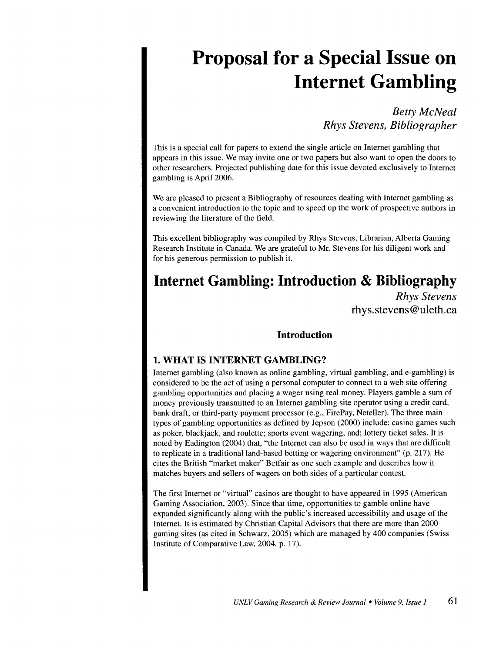# **Proposal for a Special Issue on Internet Gambling**

*Betty McNeal Rhys Stevens, Bibliographer* 

This is a special call for papers to extend the single article on Internet gambling that appears in this issue. We may invite one or two papers but also want to open the doors to other researchers. Projected publishing date for this issue devoted exclusively to Internet gambling is April 2006.

We are pleased to present a Bibliography of resources dealing with Internet gambling as a convenient introduction to the topic and to speed up the work of prospective authors in reviewing the literature of the field.

This excellent bibliography was compiled by Rhys Stevens, Librarian, Alberta Gaming Research Institute in Canada. We are grateful to Mr. Stevens for his diligent work and for his generous permission to publish it.

# **Internet Gambling: Introduction & Bibliography**

*Rhys Stevens*  rhys.stevens @uleth.ca

#### **Introduction**

#### **1. WHAT IS INTERNET GAMBLING?**

Internet gambling (also known as online gambling, virtual gambling, and e-gambling) is considered to be the act of using a personal computer to connect to a web site offering gambling opportunities and placing a wager using real money. Players gamble a sum of money previously transmitted to an Internet gambling site operator using a credit card, bank draft, or third-party payment processor (e.g., FirePay, Neteller). The three main types of gambling opportunities as defined by Jepson (2000) include: casino games such as poker, blackjack, and roulette; sports event wagering, and; lottery ticket sales. It is noted by Eadington (2004) that, "the Internet can also be used in ways that are difficult to replicate in a traditional land-based betting or wagering environment" (p. 217). He cites the British "market maker" Betfair as one such example and describes how it matches buyers and sellers of wagers on both sides of a particular contest.

The first Internet or "virtual" casinos are thought to have appeared in 1995 (American Gaming Association, 2003). Since that time, opportunities to gamble online have expanded significantly along with the public's increased accessibility and usage of the Internet. It is estimated by Christian Capital Advisors that there are more than 2000 gaming sites (as cited in Schwarz, 2005) which are managed by 400 companies (Swiss Institute of Comparative Law, 2004, p. 17).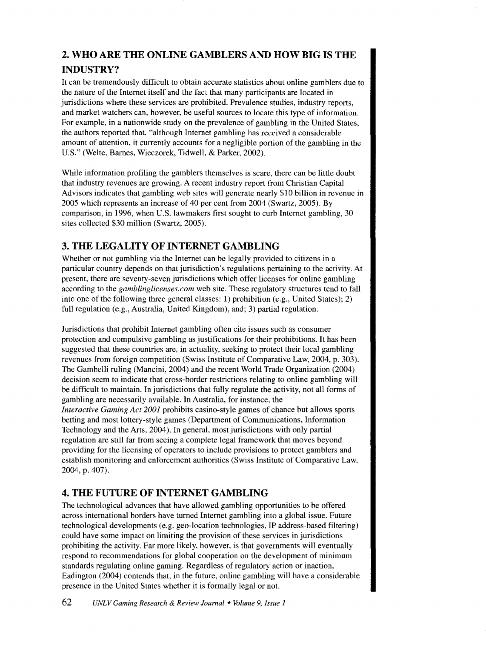# **2. WHO ARE THE ONLINE GAMBLERS AND HOW BIG IS THE INDUSTRY?**

It can be tremendously difficult to obtain accurate statistics about online gamblers due to the nature of the Internet itself and the fact that many participants are located in jurisdictions where these services are prohibited. Prevalence studies, industry reports, and market watchers can, however, be useful sources to locate this type of information. For example, in a nationwide study on the prevalence of gambling in the United States, the authors reported that, "although Internet gambling has received a considerable amount of attention, it currently accounts for a negligible portion of the gambling in the U.S." (Welte, Barnes, Wieczorek, Tidwell, & Parker, 2002).

While information profiling the gamblers themselves is scare, there can be little doubt that industry revenues are growing. A recent industry report from Christian Capital Advisors indicates that gambling web sites will generate nearly \$10 billion in revenue in 2005 which represents an increase of 40 per cent from 2004 (Swartz, 2005). By comparison, in 1996, when U.S. lawmakers first sought to curb Internet gambling, 30 sites collected \$30 million (Swartz, 2005).

## **3. THE LEGALITY OF INTERNET GAMBLING**

Whether or not gambling via the Internet can be legally provided to citizens in a particular country depends on that jurisdiction's regulations pertaining to the activity. At present, there are seventy-seven jurisdictions which offer licenses for online gambling according to the *gamblinglicenses.com* web site. These regulatory structures tend to fall into one of the following three general classes: 1) prohibition (e.g., United States); 2) full regulation (e.g., Australia, United Kingdom), and; 3) partial regulation.

Jurisdictions that prohibit Internet gambling often cite issues such as consumer protection and compulsive gambling as justifications for their prohibitions. It has been suggested that these countries are, in actuality, seeking to protect their local gambling revenues from foreign competition (Swiss Institute of Comparative Law, 2004, p. 303). The Gambelli ruling (Mancini, 2004) and the recent World Trade Organization (2004) decision seem to indicate that cross-border restrictions relating to online gambling will be difficult to maintain. In jurisdictions that fully regulate the activity, not all forms of gambling are necessarily available. In Australia, for instance, the *Interactive Gaming Act 200/* prohibits casino-style games of chance but allows sports betting and most lottery-style games (Department of Communications, Information Technology and the Arts, 2004). In general, most jurisdictions with only partial regulation are still far from seeing a complete legal framework that moves beyond providing for the licensing of operators to include provisions to protect gamblers and establish monitoring and enforcement authorities (Swiss Institute of Comparative Law. 2004, p. 407).

### **4. THE FUTURE OF INTERNET GAMBLING**

The technological advances that have allowed gambling opportunities to be offered across international borders have turned Internet gambling into a global issue. Future technological developments (e.g. geo-location technologies, IP address-based filtering) could have some impact on limiting the provision of these services in jurisdictions prohibiting the activity. Far more likely, however, is that governments will eventually respond to recommendations for global cooperation on the development of minimum standards regulating online gaming. Regardless of regulatory action or inaction, Eadington (2004) contends that, in the future, online gambling will have a considerable presence in the United States whether it is formally legal or not.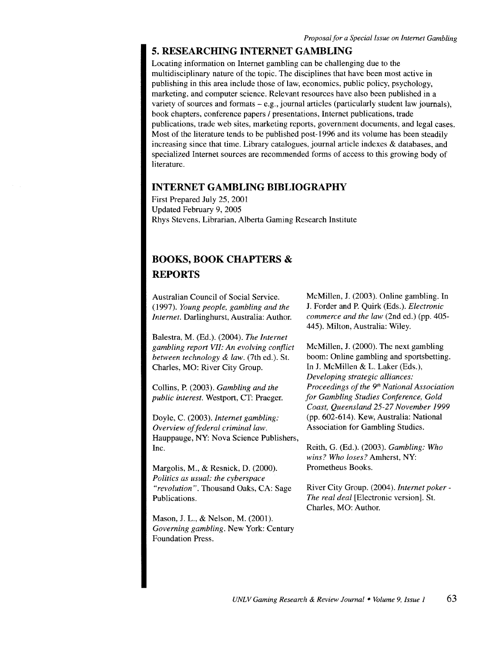#### **5. RESEARCHING INTERNET GAMBLING**

Locating information on Internet gambling can be challenging due to the multidisciplinary nature of the topic. The disciplines that have been most active in publishing in this area include those of law, economics, public policy, psychology, marketing, and computer science. Relevant resources have also been published in a variety of sources and formats  $-e.g.,$  journal articles (particularly student law journals), book chapters, conference papers / presentations, Internet publications, trade publications, trade web sites, marketing reports, government documents, and legal cases. Most of the literature tends to be published post-1996 and its volume has been steadily increasing since that time. Library catalogues, journal article indexes & databases, and specialized Internet sources are recommended forms of access to this growing body of literature.

#### **INTERNET GAMBLING BIBLIOGRAPHY**

First Prepared July 25, 2001 Updated February 9, 2005 Rhys Stevens, Librarian, Alberta Gaming Research Institute

# **BOOKS, BOOK CHAPTERS** & **REPORTS**

Australian Council of Social Service. (1997). *Young people, gambling and the Internet.* Darlinghurst, Australia: Author.

Balestra, M. (Ed.). (2004). *The Internet gambling report VII: An evolving conflict between technology* & *law.* (7th ed.). St. Charles, MO: River City Group.

Collins, P. (2003). *Gambling and the public interest.* Westport, CT: Praeger.

Doyle, C. (2003). *Internet gambling: Overview of federal criminal law.*  Hauppauge, NY: Nova Science Publishers, Inc.

Margolis, M., & Resnick, D. (2000). *Politics as usual: the cyberspace "revolution".* Thousand Oaks, CA: Sage Publications.

Mason, J. L., & Nelson, M. (2001). *Governing gambling.* New York: Century Foundation Press.

McMillen, J. (2003). Online gambling. In J. Forder and P. Quirk (Eds.). *Electronic commerce and the law* (2nd ed.) (pp. 405- 445). Milton, Australia: Wiley.

McMillen, J. (2000). The next gambling boom: Online gambling and sports betting. In J. McMillen & L. Laker (Eds.), *Developing strategic alliances: Proceedings of the 9'h National Association for Gambling Studies Conference, Gold Coast, Queensland 25-27 November 1999*  (pp. 602-614). Kew, Australia: National Association for Gambling Studies.

Reith, G. (Ed.). (2003). *Gambling: Who wins? Who loses?* Amherst, NY: Prometheus Books.

River City Group. (2004). *Internet poker-The real deal* [Electronic version]. St. Charles, MO: Author.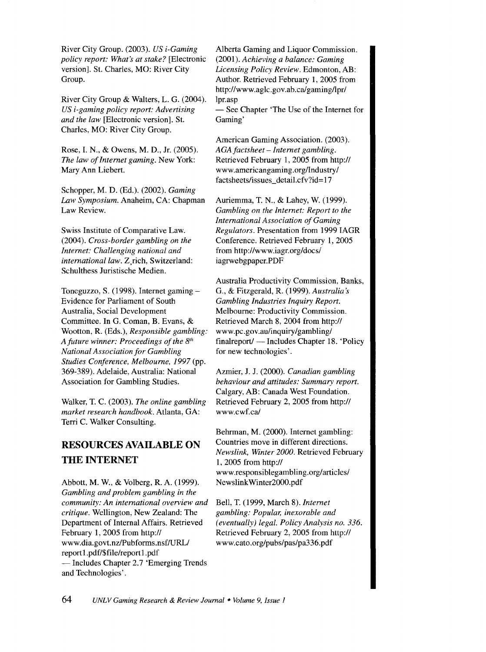River City Group. (2003). *US i-Gaming policy report: What's at stake?* [Electronic version]. St. Charles, MO: River City Group.

River City Group & Walters, L. G. (2004). *US i-gaming policy report: Advertising and the law* [Electronic version]. St. Charles, MO: River City Group.

Rose, I. N., & Owens, M. D., Jr. (2005). *The law of Internet gaming.* New York: Mary Ann Liebert.

Schopper, M.D. (Ed.). (2002). *Gaming Law Symposium.* Anaheim, CA: Chapman Law Review.

Swiss Institute of Comparative Law. (2004). *Cross-border gambling on the Internet: Challenging national and international law.* Z,rich, Switzerland: Schulthess Juristische Medien.

Toneguzzo, S. (1998). Internet gaming-Evidence for Parliament of South Australia, Social Development Committee. In G. Coman, B. Evans, & Wootton, R. (Eds.), *Responsible gambling: A future winner: Proceedings of the 8'h National Association for Gambling Studies Conference, Melbourne, I997* (pp. 369-389). Adelaide, Australia: National Association for Gambling Studies.

Walker, T. C. (2003). *The online gambling market research handbook.* Atlanta, GA: Terri C. Walker Consulting.

# **RESOURCES AVAILABLE ON THE INTERNET**

Abbott, M. W., & Volberg, R. A. (1999). *Gambling and problem gambling in the community: An international overview and critique.* Wellington, New Zealand: The Department of Internal Affairs. Retrieved February 1, 2005 from http:// www.dia.govt.nz/Pubforms.nsf/URL/ report 1. pdf/\$ file/report 1. pdf -Includes Chapter 2.7 'Emerging Trends and Technologies'.

Alberta Gaming and Liquor Commission. (2001). *Achieving a balance: Gaming Licensing Policy Review.* Edmonton, AB: Author. Retrieved February 1, 2005 from http://www.aglc.gov.ab.ca/gaming/lpr/ lpr.asp

- See Chapter 'The Use of the Internet for Gaming'

American Gaming Association. (2003). *AGA factsheet- Internet gambling.*  Retrieved February 1, 2005 from http:// www.americangaming.org/Industry/ factsheets/issues\_detail.cfv?id=17

Auriemma, T. N., & Lahey, W. (1999). *Gambling on the Internet: Report to the International Association of Gaming Regulators.* Presentation from 1999 IAGR Conference. Retrieved February 1, 2005 from http://www.iagr.org/docs/ iagrwebgpaper.PDF

Australia Productivity Commission, Banks, G., & Fitzgerald, R. (1999). *Australia's Gambling Industries Inquiry Report.*  Melbourne: Productivity Commission. Retrieved March 8, 2004 from http:// www.pc.gov.au/inquiry/gambling/ finalreport/ — Includes Chapter 18. 'Policy for new technologies'.

Azmier, J. J. (2000). *Canadian gambling behaviour and attitudes: Summary report.*  Calgary, AB: Canada West Foundation. Retrieved February 2, 2005 from http:// www.cwf.ca/

Behrman, M. (2000). Internet gambling: Countries move in different directions. *Newslink, Winter 2000.* Retrieved February 1, 2005 from http:// www.responsiblegambling.org/articles/ Newslink Winter2000.pdf

Bell, T. (1999, March 8). *Internet gambling: Popular, inexorable and (eventually) legal. Policy Analysis no. 336.*  Retrieved February 2, 2005 from http:// www.cato.org/pubs/pas/pa336.pdf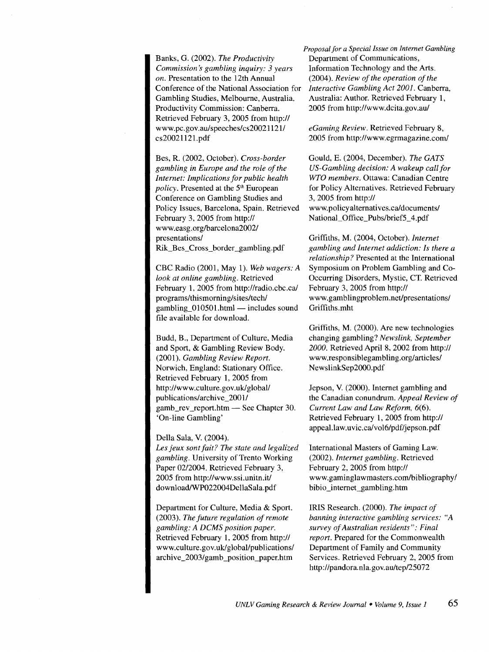Banks, G. (2002). *The Productivity Commission's gambling inquiry: 3 years on.* Presentation to the 12th Annual Conference of the National Association for Gambling Studies, Melbourne, Australia. Productivity Commission: Canberra. Retrieved February 3, 2005 from http:// www.pc.gov.au/speeches/cs200211211 cs20021121.pdf

Bes, R. (2002, October). *Cross-border gambling in Europe and the role of the Internet: Implications for public health policy.* Presented at the 5'h European Conference on Gambling Studies and Policy Issues, Barcelona, Spain. Retrieved February 3, 2005 from http:// www.easg.org/barcelona2002/ presentations/ Rik\_Bes\_Cross\_border\_gambling.pdf

CBC Radio (2001, May 1). *Web wagers: A look at online gambling.* Retrieved February 1, 2005 from http://radio.cbc.ca/ programs/thismorning/sites/tech/ gambling  $010501$ .html - includes sound file available for download.

Budd, B., Department of Culture, Media and Sport, & Gambling Review Body. (2001). *Gambling Review Report.*  Norwich, England: Stationary Office. Retrieved February 1, 2005 from http://www.culture.gov.uk/global/ publications/archive\_2001/ gamb\_rev report.htm $-$  See Chapter 30. 'On-line Gambling'

Della Sala, V. (2004). *Les jeux sont fait? The state and legalized gambling.* University of Trento Working Paper 02/2004. Retrieved February 3, 2005 from http://www.ssi.unitn.it/ download/WP022004DellaSala.pdf

Department for Culture, Media & Sport. (2003). *The future regulation of remote gambling: A DCMS position paper.*  Retrieved February 1, 2005 from http:// www.culture.gov.uk/global/publications/ archive\_2003/gamb\_position\_paper.htm

*Proposal for a Special Issue on Internet Gambling*  Department of Communications, Information Technology and the Arts. (2004). *Review of the operation of the Interactive Gambling Act 2001.* Canberra, Australia: Author. Retrieved February 1, 2005 from http://www.dcita.gov.au/

*eGaming Review.* Retrieved February 8, 2005 from http://www.egrmagazine.com/

Gould, E. (2004, December). *The GATS US-Gambling decision: A wakeup call for WTO members.* Ottawa: Canadian Centre for Policy Alternatives. Retrieved February 3, 2005 from http:// www. policy alternatives. cal documents/ National\_Office\_Pubs/brief5\_ 4.pdf

Griffiths, M. (2004, October). *Internet gambling and Internet addiction: Is there a relationship?* Presented at the International Symposium on Problem Gambling and Co-Occurring Disorders, Mystic, CT. Retrieved February 3, 2005 from http:// www.gamblingproblem.net/presentations/ Griffiths.mht

Griffiths, M. (2000). Are new technologies changing gambling? *Newslink, September 2000.* Retrieved April 8, 2002 from http:// www.responsiblegambling.org/articles/ NewslinkSep2000.pdf

Jepson, V. (2000). Internet gambling and the Canadian conundrum. *Appeal Review of Current Law and Law Reform,* 6(6). Retrieved February 1, 2005 from http:// appeal.law.uvic.calvol6/pdf/jepson.pdf

International Masters of Gaming Law. (2002). *Internet gambling.* Retrieved February 2, 2005 from http:// www.gaminglawmasters.com/bibliography/ bibio \_internet \_gambling.htm

IRIS Research. (2000). *The impact of banning interactive gambling services: "A survey of Australian residents": Final report.* Prepared for the Commonwealth Department of Family and Community Services. Retrieved February 2, 2005 from http://pandora.nla.gov.au/tep/25072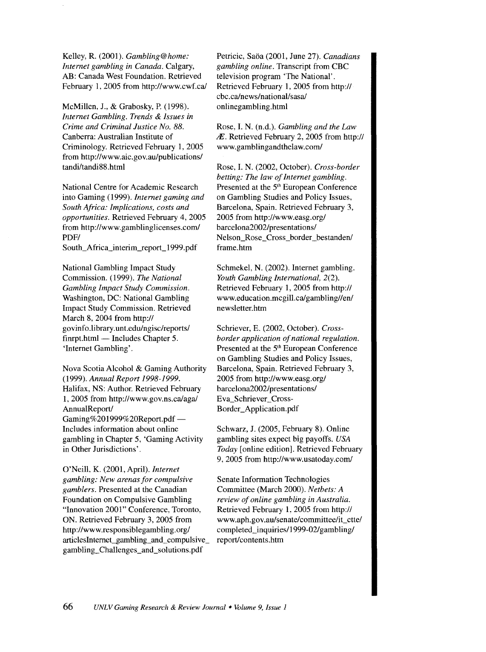Kelley, R. (2001). *Gambling@home: Internet gambling in Canada.* Calgary, AB: Canada West Foundation. Retrieved February 1, 2005 from http://www.cwf.ca/

McMillen, J., & Grabosky, P. (1998). *Internet Gambling. Trends* & *Issues in Crime and Criminal Justice No. 88.*  Canberra: Australian Institute of Criminology. Retrieved February 1, 2005 from http://www.aic.gov.au/publications/ tandi/tandi88.html

National Centre for Academic Research into Gaming (1999). *Internet gaming and South Africa: Implications, costs and opportunities.* Retrieved February 4, 2005 from http://www.gamblinglicenses.com/ PDF/

South\_Africa\_interim\_report\_1999. pdf

National Gambling Impact Study Commission. (1999). *The National Gambling Impact Study Commission.*  Washington, DC: National Gambling Impact Study Commission. Retrieved March 8, 2004 from http:// govinfo.library.unt.edu/ngisc/reports/ finrpt.html — Includes Chapter 5. 'Internet Gambling'.

Nova Scotia Alcohol & Gaming Authority (1999). *Annual Report 1998-1999.*  Halifax, NS: Author. Retrieved February 1, 2005 from http://www.gov.ns.ca/aga/ AnnualReport/ Gaming%201999%20Report.pdf-Includes information about online gambling in Chapter 5, 'Gaming Activity in Other Jurisdictions'.

O'Neill, K. (2001, April). *Internet gambling: New arenas for compulsive gamblers.* Presented at the Canadian Foundation on Compulsive Gambling "Innovation 2001" Conference, Toronto, ON. Retrieved February 3, 2005 from http ://www.responsiblegambling. org/ articlesintemet\_gambling\_and\_compulsive\_ gambling\_Challenges\_and\_solutions.pdf

Petricic, Saba (2001, June 27). *Canadians gambling online.* Transcript from CBC television program 'The National'. Retrieved February 1, 2005 from http:// cbc.ca/news/national/sasa! onlinegambling.htrnl

Rose, I. N. (n.d.). *Gambling and the Law*  IE. Retrieved February 2, 2005 from http:// www.gamblingandthelaw.com/

Rose, I. N. (2002, October). *Cross-border betting: The law of Internet gambling.*  Presented at the 5<sup>th</sup> European Conference on Gambling Studies and Policy Issues, Barcelona, Spain. Retrieved February 3, 2005 from http://www.easg.org/ barcelona2002/presentations/ Nelson\_Rose\_Cross\_border\_bestanden/ frame.htm

Schmekel, N. (2002). Internet gambling. *Youth Gambling International,* 2(2). Retrieved February 1, 2005 from http:// www.education.mcgill.ca/gambling//en/ newsletter.htrn

Schriever, E. (2002, October). *Crossborder application of national regulation.*  Presented at the 5<sup>th</sup> European Conference on Gambling Studies and Policy Issues, Barcelona, Spain. Retrieved February 3, 2005 from http://www.easg.org/ barcelona2002/presentations/ Eva\_Schriever\_ Cross-Border\_Application.pdf

Schwarz, J. (2005, February 8). Online gambling sites expect big payoffs. *USA Today* [online edition]. Retrieved February 9, 2005 from http://www.usatoday.com/

Senate Information Technologies Committee (March 2000). *Netbets: A review of online gambling in Australia.*  Retrieved February 1, 2005 from http:// www.aph.gov.au/senate/committee/it\_ctte/ completed\_inquiries/1999-02/gambling/ report/contents.htm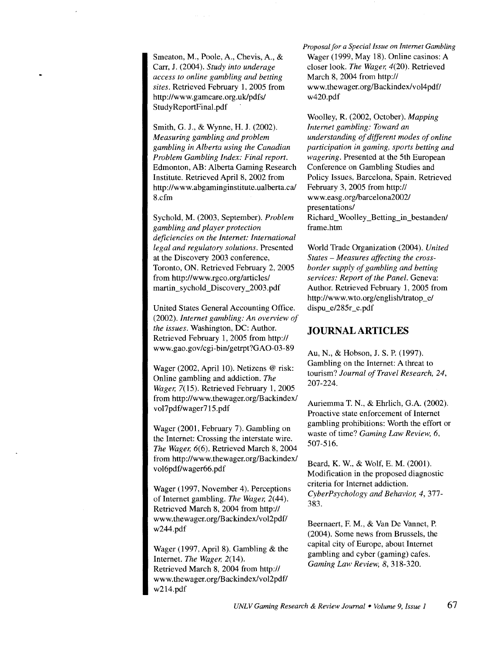Smeaton, M., Poole, A., Chevis, A., & Carr, J. (2004). *Study into underage access to online gambling and betting sites.* Retrieved February 1, 2005 from http://www.gamcare.org.uk/pdfs/ Study ReportFinal. pdf

Smith, G. J., & Wynne, H. J. (2002). *Measuring gambling and problem gambling in Alberta using the Canadian Problem Gambling Index: Final report.*  Edmonton, AB: Alberta Gaming Research Institute. Retrieved April 8, 2002 from http://www.abgaminginstitute.ualberta.ca/ 8.cfm

Sychold, M. (2003, September). *Problem gambling and player protection deficiencies on the Internet: International legal and regulatory solutions.* Presented at the Discovery 2003 conference, Toronto, ON. Retrieved February 2, 2005 from http://www.rgco.org/articles/ martin\_sychold\_Discovery \_2003.pdf

United States General Accounting Office. (2002). *Internet gambling: An overview of the issues.* Washington, DC: Author. Retrieved February 1, 2005 from http:// www.gao.gov/cgi-binlgetrpt?GA0-03-89

Wager (2002, April 10). Netizens @ risk: Online gambling and addiction. *The Wager,* 7(15). Retrieved February 1, 2005 from http://www.thewager.org/Backindex/ vol7pdf/wager715. pdf

Wager (2001, February 7). Gambling on the Internet: Crossing the interstate wire. *The Wager,* 6(6). Retrieved March 8, 2004 from http://www. thewager.org/Backindex/ vol6pdf/wager66.pdf

Wager (1997, November 4). Perceptions of Internet gambling. *The Wager,* 2(44). Retrieved March 8, 2004 from http:// www. thewager.org/Backindex/vol2pdf/ w244.pdf

Wager (1997, April 8). Gambling & the Internet. *The Wager,* 2(14). Retrieved March 8, 2004 from http:// www.thewager.org/Backindex/vol2pdf/ w214.pdf

*Proposal for a Special Issue on Internet Gambling*  Wager (1999, May 18). Online casinos: A closer look. *The Wager,* 4(20). Retrieved March 8, 2004 from http:// www.thewager.org/Backindex/vol4pdf/ w420.pdf

Woolley, R. (2002, October). *Mapping Internet gambling: Toward an understanding of different modes of online participation in gaming, sports betting and wagering.* Presented at the 5th European Conference on Gambling Studies and Policy Issues, Barcelona, Spain. Retrieved February 3, 2005 from http:// www.easg.org/barcelona2002/ presentations/ Richard\_Woolley\_Betting\_in\_bestanden/ frame.htm

World Trade Organization (2004). *United States -Measures affecting the crossborder supply of gambling and betting services: Report of the Panel.* Geneva: Author. Retrieved February 1, 2005 from http://www. wto.org/english/tratop\_e/ dispu\_e/285r\_e.pdf

#### **JOURNAL ARTICLES**

Au, N., & Hobson, J. S. P. (1997). Gambling on the Internet: A threat to tourism? *Journal of Travel Research, 24,*  207-224.

Auriemma T. N., & Ehrlich, G.A. (2002). Proactive state enforcement of Internet gambling prohibitions: Worth the effort or waste of time? *Gaming Law Review, 6,*  507-516.

Beard, K. W., & Wolf, E. M. (2001). Modification in the proposed diagnostic criteria for Internet addiction. *CyberPsychology and Behavior, 4,* 377- 383.

Beernaert, F. M., & Van De Vannet, P. (2004). Some news from Brussels, the capital city of Europe, about Internet gambling and cyber (gaming) cafes. *Gaming Law Review, 8,* 318-320.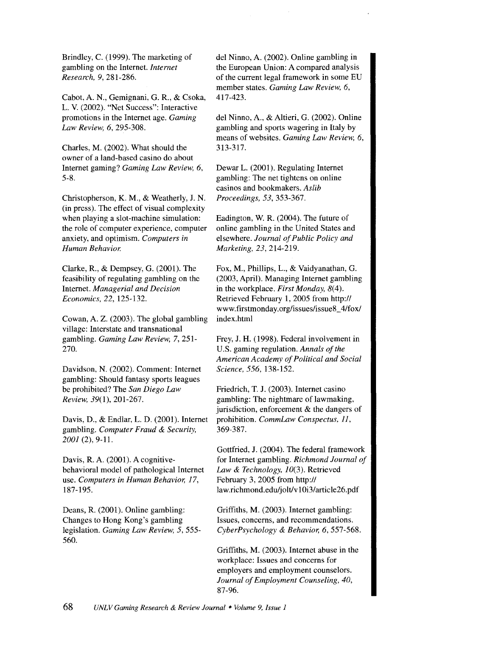Brindley, C. (1999). The marketing of gambling on the Internet. *Internet Research, 9,* 281-286.

Cabot, A. N., Gemignani, G. R., & Csoka, L. V. (2002). "Net Success": Interactive promotions in the Internet age. *Gaming Law Review, 6,* 295-308.

Charles, M. (2002). What should the owner of a land-based casino do about Internet gaming? *Gaming Law Review, 6,*  5-8.

Christopherson, K. M., & Weatherly, J. N. (in press). The effect of visual complexity when playing a slot-machine simulation: the role of computer experience, computer anxiety, and optimism. *Computers in Human Behavior.* 

Clarke, R., & Dempsey, G. (2001). The feasibility of regulating gambling on the Internet. *Managerial and Decision Economics, 22,* 125-132.

Cowan, A. Z. (2003). The global gambling village: Interstate and transnational gambling. *Gaming Law Review,* 7, 251- 270.

Davidson, N. (2002). Comment: Internet gambling: Should fantasy sports leagues be prohibited? The *San Diego Law Review,* 39(1), 201-267.

Davis, D., & Endlar, L. D. (2001). Internet gambling. *Computer Fraud* & *Security, 2001* (2), 9-11.

Davis, R. A. (2001). A cognitivebehavioral model of pathological Internet use. *Computers in Human Behavior, 17,*  187-195.

Deans, R. (2001). Online gambling: Changes to Hong Kong's gambling legislation. *Gaming Law Review, 5,* 555- 560.

del Ninno, A. (2002). Online gambling in the European Union: A compared analysis of the current legal framework in some EU member states. *Gaming Law Review, 6,*  417-423.

del Ninno, A., & Altieri, G. (2002). Online gambling and sports wagering in Italy by means of websites. *Gaming Law Review, 6,*  313-317.

Dewar L. (2001). Regulating Internet gambling: The net tightens on online casinos and bookmakers. *As lib Proceedings, 53,* 353-367.

Eadington, W. R. (2004). The future of online gambling in the United States and elsewhere. *Journal of Public Policy and Marketing,* 23,214-219.

Fox, M., Phillips, L., & Vaidyanathan, G. (2003, April). Managing Internet gambling in the workplace. *First Monday,* 8(4). Retrieved February 1, 2005 from http:// www.firstmonday.org/issues/issue8\_ 4/fox/ index.html

Frey, J. H. (1998). Federal involvement in U.S. gaming regulation. *Annals of the American Academy of Political and Social Science, 556,* 138-152.

Friedrich, T. J. (2003). Internet casino gambling: The nightmare of lawmaking, jurisdiction, enforcement & the dangers of prohibition. *CommLaw Conspectus, II,*  369-387.

Gottfried, J. (2004). The federal framework for Internet gambling. *Richmond Journal of Law* & *Technology,* /0(3). Retrieved February 3, 2005 from http:// law.richmond.edu/jolt/v10i3/article26.pdf

Griffiths, M. (2003). Internet gambling: Issues, concerns, and recommendations. *CyberPsychology* & *Behavior, 6,* 557-568.

Griffiths, M. (2003). Internet abuse in the workplace: Issues and concerns for employers and employment counselors. *Journal of Employment Counseling, 40,*  87-96.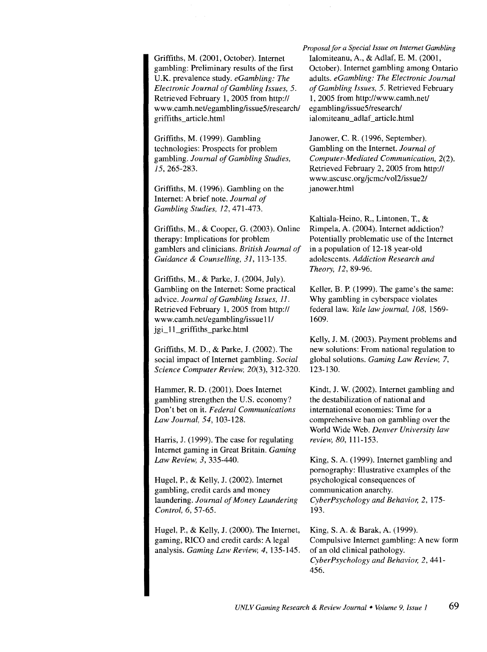Griffiths, M. (2001, October). Internet gambling: Preliminary results of the first U.K. prevalence study. *eGambling: The Electronic Journal of Gambling Issues,* 5. Retrieved February 1, 2005 from http:// www.camh.net/egambling/issue5/research/ griffiths\_article.html

Griffiths, M. (1999). Gambling technologies: Prospects for problem gambling. *Journal of Gambling Studies,*  15, 265-283.

Griffiths, M. (1996). Gambling on the Internet: A brief note. *Journal of Gambling Studies,* 12,471-473.

Griffiths, M., & Cooper, G. (2003). Online therapy: Implications for problem gamblers and clinicians. *British Journal of Guidance* & *Counselling, 31,* 113-135.

Griffiths, M., & Parke, J. (2004, July). Gambling on the Internet: Some practical advice. *Journal of Gambling Issues, 11.*  Retrieved February 1, 2005 from http:// www.camh.net/egambling/issue 11/ jgi\_11\_griffiths\_parke.html

Griffiths, M. D., & Parke, J. (2002). The social impact of Internet gambling. *Social Science Computer Review,* 20(3), 312-320.

Hammer, R. D. (2001). Does Internet gambling strengthen the U.S. economy? Don't bet on it. *Federal Communications Law Journal, 54,* 103-128.

Harris, J. (1999). The case for regulating Internet gaming in Great Britain. *Gaming Law Review, 3,* 335-440.

Hugel, P., & Kelly, J. (2002). Internet gambling, credit cards and money laundering. *Journal of Money Laundering Control, 6,* 57-65.

Hugel, P., & Kelly, J. (2000). The Internet, gaming, RICO and credit cards: A legal analysis. *Gaming Law Review, 4,* 135-145.

*Proposal for a Special Issue on Internet Gambling*  Ialomiteanu, A., & Adlaf, E. M. (2001, October). Internet gambling among Ontario adults. *eGambling: The Electronic Journal of Gambling Issues, 5.* Retrieved February 1, 2005 from http://www.camh.net/ egambling/issue5/research/ ialomiteanu\_adlaf\_article.html

Janower, C. R. (1996, September). Gambling on the Internet. *Journal of Computer-Mediated Communication,* 2(2). Retrieved February 2, 2005 from http:// www.ascusc.org/jcmc/vol2/issue2/ janower.htrnl

Kaltiala-Heino, R., Lintonen, T., & Rimpela, A. (2004). Internet addiction? Potentially problematic use of the Internet in a population of 12-18 year-old adolescents. *Addiction Research and Theory, 12,* 89-96.

Keller, B. P. (1999). The game's the same: Why gambling in cyberspace violates federal law. *Yale law journal, 108,* 1569- 1609.

Kelly, J. M. (2003). Payment problems and new solutions: From national regulation to global solutions. *Gaming Law Review,* 7, 123-130.

Kindt, J. W. (2002). Internet gambling and the destabilization of national and international economies: Time for a comprehensive ban on gambling over the World Wide Web. *Denver University law review, 80,* 111-153.

King, S. A. (1999). Internet gambling and pornography: Illustrative examples of the psychological consequences of communication anarchy. *CyberPsychology and Behavior, 2,* 175- 193.

King, S. A. & Barak, A. (1999). Compulsive Internet gambling: A new form of an old clinical pathology. *CyberPsychology and Behavior, 2,* 441- 456.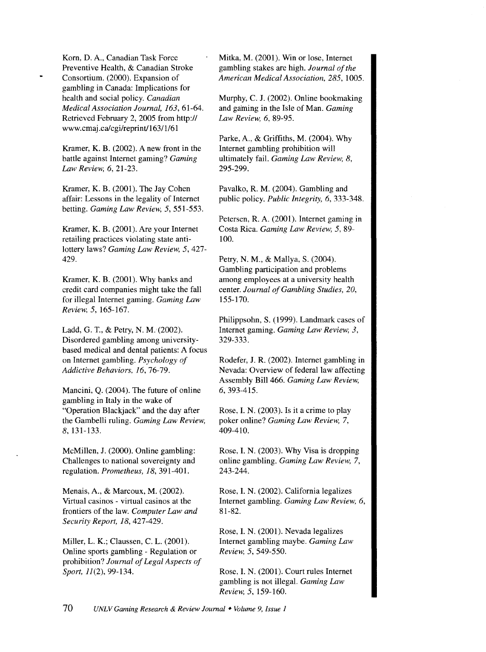Korn, D. A., Canadian Task Force Preventive Health, & Canadian Stroke Consortium. (2000). Expansion of gambling in Canada: Implications for health and social policy. *Canadian Medical Association Journal, 163,* 61-64. Retrieved February 2, 2005 from http:// www.cmaj .ca/cgi/reprint/163/1/61

Kramer, K. B. (2002). A new front in the battle against Internet gaming? *Gaming Law Review, 6,* 21-23.

Kramer, K. B. (2001). The Jay Cohen affair: Lessons in the legality of Internet betting. *Gaming Law Review, 5,* 551-553.

Kramer, K. B. (2001). Are your Internet retailing practices violating state antilottery laws? *Gaming Law Review, 5,* 427- 429.

Kramer, K. B. (2001). Why banks and credit card companies might take the fall for illegal Internet gaming. *Gaming Law Review, 5,* 165-167.

Ladd, G. T., & Petry, N. M. (2002). Disordered gambling among universitybased medical and dental patients: A focus on Internet gambling. *Psychology of Addictive Behaviors, 16,* 76-79.

Mancini, Q. (2004). The future of online gambling in Italy in the wake of "Operation Blackjack" and the day after the Gambelli ruling. *Gaming Law Review,*  8, 131-133.

McMillen, J. (2000). Online gambling: Challenges to national sovereignty and regulation. *Prometheus, 18,* 391-401.

Menais, A., & Marcoux, M. (2002). Virtual casinos - virtual casinos at the frontiers of the law. *Computer Law and Security Report, 18,427-429.* 

Miller, L. K.; Claussen, C. L. (2001). Online sports gambling - Regulation or prohibition? *Journal of Legal Aspects of Sport,* 11(2), 99-134.

Mitka, M. (2001). Win or lose, Internet gambling stakes are high. *Journal of the American Medical Association, 285,* 1005.

Murphy, C. J. (2002). Online bookmaking and gaming in the Isle of Man. *Gaming Law Review, 6,* 89-95.

Parke, A., & Griffiths, M. (2004). Why Internet gambling prohibition will ultimately fail. *Gaming Law Review, 8,*  295-299.

Pavalko, R. M. (2004). Gambling and public policy. *Public Integrity, 6,* 333-348.

Petersen, R. A. (2001). Internet gaming in Costa Rica. *Gaming Law Review, 5,* 89- 100.

Petry, N. M., & Mallya, S. (2004). Gambling participation and problems among employees at a university health center. *Journal of Gambling Studies, 20,*  155-170.

Philippsohn, S. (1999). Landmark cases of Internet gaming. *Gaming Law Review, 3,*  329-333.

Rodefer, J. R. (2002). Internet gambling in Nevada: Overview of federal law affecting Assembly Bill 466. *Gaming Law Review,*  6, 393-415.

Rose, I. N. (2003). Is it a crime to play poker online? *Gaming Law Review,* 7, 409-410.

Rose, I. N. (2003). Why Visa is dropping online gambling. *Gaming Law Review,* 7, 243-244.

Rose, I. N. (2002). California legalizes Internet gambling. *Gaming Law Review, 6,*  81-82.

Rose, I. N. (2001). Nevada legalizes Internet gambling maybe. *Gaming Law Review, 5,* 549-550.

Rose, I. N. (2001). Court rules Internet gambling is not illegal. *Gaming Law Review, 5,* 159-160.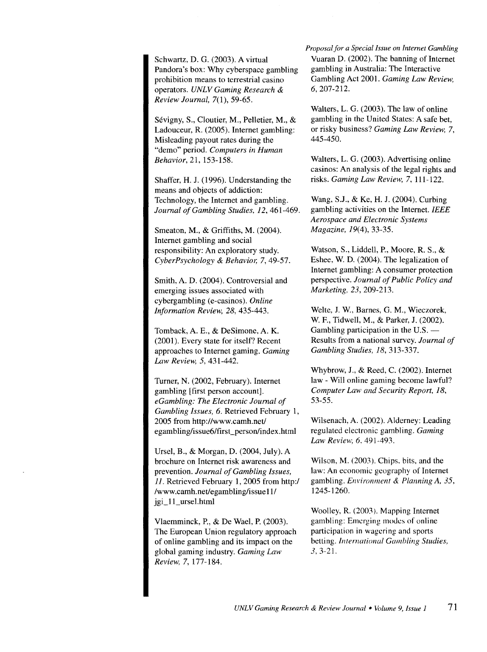Schwartz, D. G. (2003). A virtual Pandora's box: Why cyberspace gambling prohibition means to terrestrial casino operators. *UNLV Gaming Research* & *Review Journal,* 7(1), 59-65.

Sevigny, S., Cloutier, M., Pelletier, M., & Ladouceur, R. (2005). Internet gambling: Misleading payout rates during the "demo" period. *Computers in Human Behavior,* 21, 153-158.

Shaffer, H. J. (1996). Understanding the means and objects of addiction: Technology, the Internet and gambling. *Journal of Gambling Studies,* 12,461-469.

Smeaton, M., & Griffiths, M. (2004). Internet gambling and social responsibility: An exploratory study. *CyberPsychology* & *Behavior,* 7, 49-57.

Smith, A. D. (2004). Controversial and emerging issues associated with cybergambling (e-casinos). *Online Information Review, 28,* 435-443.

Tomback, A. E., & DeSimone, A. K. (2001). Every state for itself? Recent approaches to Internet gaming. *Gaming Law Review, 5,* 431-442.

Turner, N. (2002, February). Internet gambling [first person account]. *eGambling: The Electronic Journal of Gambling Issues, 6.* Retrieved February 1, 2005 from http://www.camh.net/ egambling/issue6/first\_person/index.html

Ursel, B., & Morgan, D. (2004, July). A brochure on Internet risk awareness and prevention. *Journal of Gambling Issues, II.* Retrieved February 1, 2005 from http:/ /www.camh.net/egambling/issue 11/ jgi\_11\_ursel.html

Vlaemminck, P., & De Wael, P. (2003). The European Union regulatory approach of online gambling and its impact on the global gaming industry. *Gaming Law Review,* 7, 177-184.

*Proposal for a Special Issue on Internet Gambling*  Vuaran D. (2002). The banning of Internet gambling in Australia: The Interactive Gambling Act 2001. *Gaming Law Review,*  6, 207-212.

Walters, L. G. (2003). The law of online gambling in the United States: A safe bet, or risky business? *Gaming Law Review,* 7, 445-450.

Walters, L. G. (2003). Advertising online casinos: An analysis of the legal rights and risks. *Gaming Law Review,* 7, 111-122.

Wang, S.J., & Ke, H. J. (2004). Curbing gambling activities on the Internet. *IEEE Aerospace and Electronic Systems Magazine,* I9(4), 33-35.

Watson, S., Liddell, P., Moore, R. S., & Eshee, W. D. (2004). The legalization of Internet gambling: A consumer protection perspective. *Journal of Public Policy and Marketing, 23,* 209-213.

Welte, J. W., Barnes, G. M., Wieczorek, W. F., Tidwell, M., & Parker, J. (2002). Gambling participation in the U.S. -Results from a national survey. *Journal of Gambling Studies, 18,* 313-337.

Whybrow, J., & Reed, C. (2002). Internet law- Will online gaming become lawful? *Computer Law and Security Report, 18,*  53-55.

Wilsenach, A. (2002). Alderney: Leading regulated electronic gambling. *Gaming Law Review, 6, 491-493.* 

Wilson, M. (2003). Chips. bits, and the law: An economic geography of Internet gambling. *Environment* & *Planning A, 35,*  1245-1260.

Woolley, R. (2003). Mapping Internet gambling: Emerging modes of online participation in wagering and sports betting. *International Gambling Studies, 3,* 3-21.